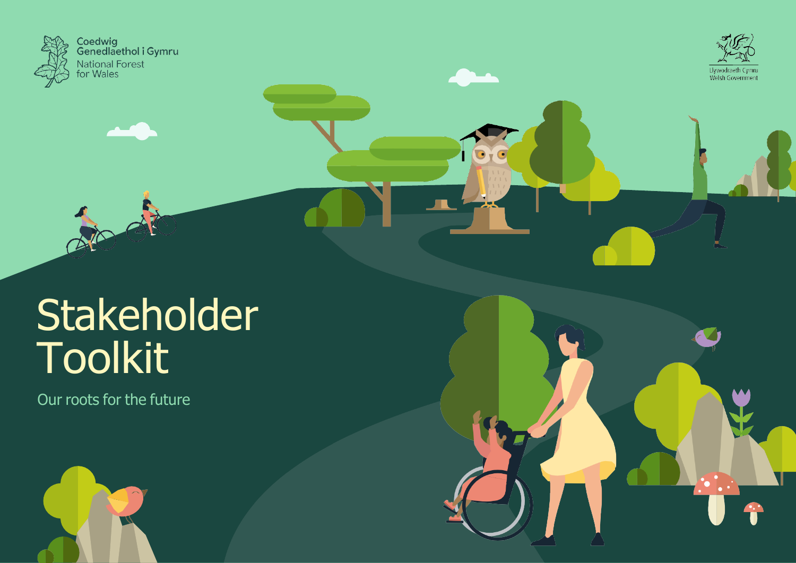



## Stakeholder Toolkit

Our roots for the future

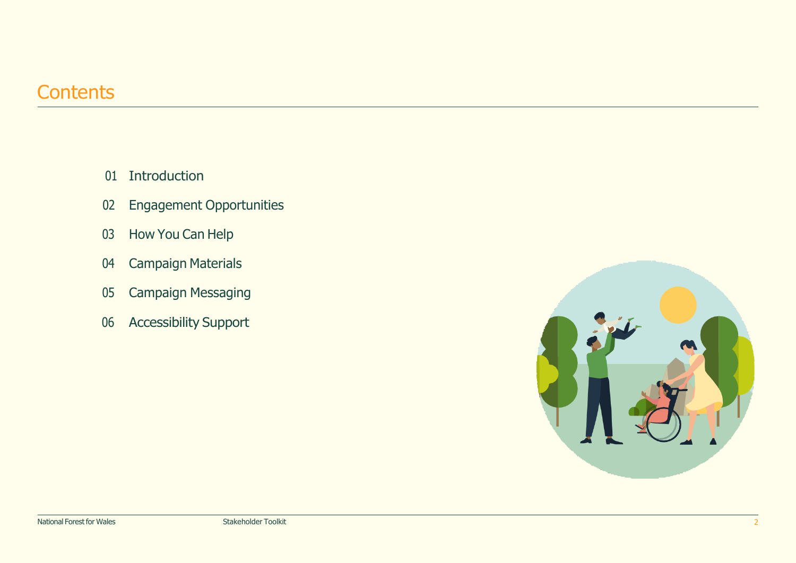## **Contents**

- [Introduction](#page-2-0)
- Engagement [Opportunities](#page-3-0)
- 03 How You Can [Help](#page-4-0)
- [Campaign](#page-5-0) Materials
- Campaign [Messaging](#page-6-0)
- [Accessibility](#page-8-0) Support

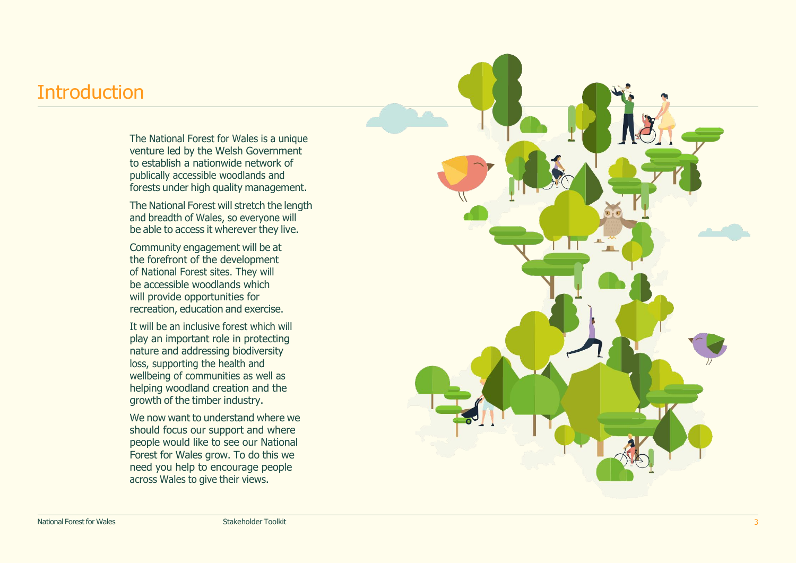## <span id="page-2-0"></span>**Introduction**

The National Forest for Wales is a unique venture led by the Welsh Government to establish a nationwide network of publically accessible woodlands and forests under high quality management.

The National Forest will stretch the length and breadth of Wales, so everyone will be able to access it wherever they live.

Community engagement will be at the forefront of the development of National Forest sites. They will be accessible woodlands which will provide opportunities for recreation, education and exercise.

It will be an inclusive forest which will play an important role in protecting nature and addressing biodiversity loss, supporting the health and wellbeing of communities as well as helping woodland creation and the growth of the timber industry.

We now want to understand where we should focus our support and where people would like to see our National Forest for Wales grow. To do this we need you help to encourage people across Wales to give their views.

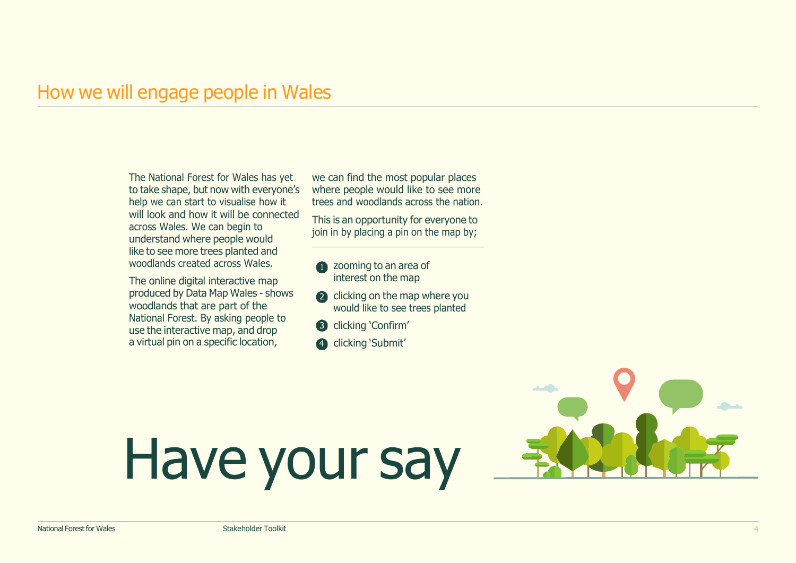## <span id="page-3-0"></span>How we will engage people in Wales

The National Forest for Wales has yet to take shape, but now with everyone's help we can start to visualise how it will look and how it will be connected across Wales. We can begin to understand where people would like to see more trees planted and woodlands created across Wales.

The online digital interactive map produced by Data Map Wales - shows woodlands that are part of the National Forest. By asking people to use the interactive map, and drop a virtual pin on a specific location,

we can find the most popular places where people would like to see more trees and woodlands across the nation.

This is an opportunity for everyone to join in by placing a pin on the map by;

- **a** zooming to an area of interest on the map
- clicking on the map where you would like to see trees planted
- **6** clicking 'Confirm'
- 4 clicking 'Submit'

# Have your say

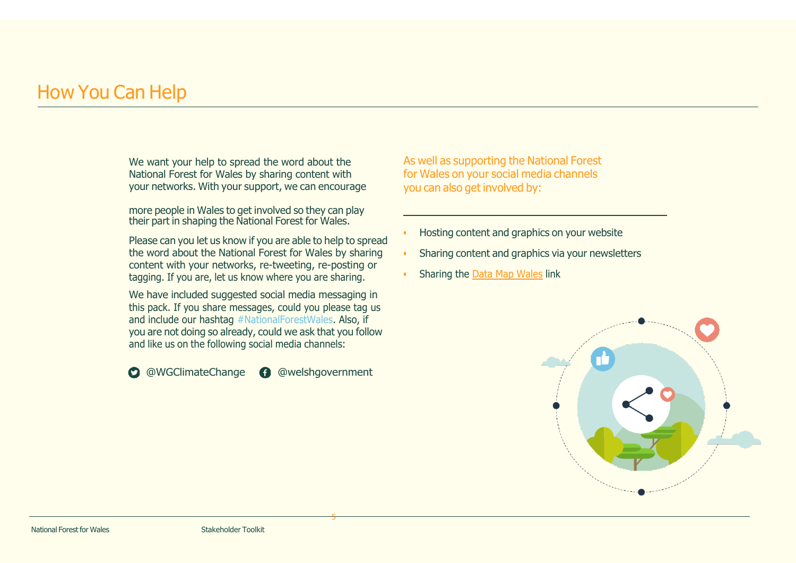## <span id="page-4-0"></span>How You Can Help

We want your help to spread the word about the National Forest for Wales by sharing content with your networks. With your support, we can encourage

more people in Wales to get involved so they can play their part in shaping the National Forest for Wales.

Please can you let us know if you are able to help to spread the word about the National Forest for Wales by sharing content with your networks, re-tweeting, re-posting or tagging. If you are, let us know where you are sharing.

We have included suggested social media messaging in this pack. If you share messages, could you please tag us and include our hashtag #NationalForestWales. Also, if you are not doing so already, could we ask that you follow and like us on the following social media channels:

**O** [@WGClimateChange](https://twitter.com/WGClimateChange) **@** [@welshgovernment](https://www.facebook.com/welshgovernment)

5

As well as supporting the National Forest for Wales on your social media channels you can also get involved by:

- Hosting content and graphics on your website
- Sharing content and graphics via your newsletters
- Sharing the Data Map [Wales](https://datamap.gov.wales/survey/2/) link

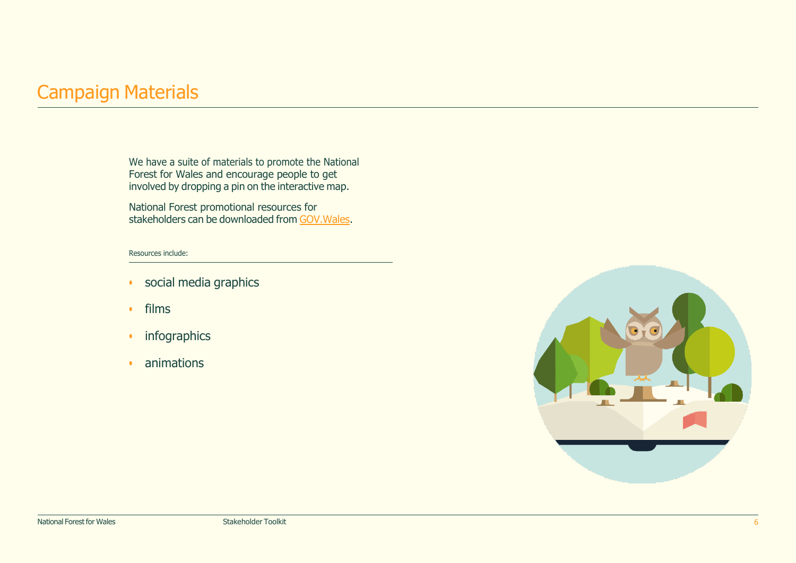## <span id="page-5-0"></span>Campaign Materials

We have a suite of materials to promote the National Forest for Wales and encourage people to get involved by dropping a pin on the interactive map.

National Forest promotional resources for stakeholders can be downloaded from [GOV.Wales.](https://gov.wales/national-forest-wales-campaign-material-stakeholders)

#### Resources include:

- social media graphics
- films
- infographics
- animations

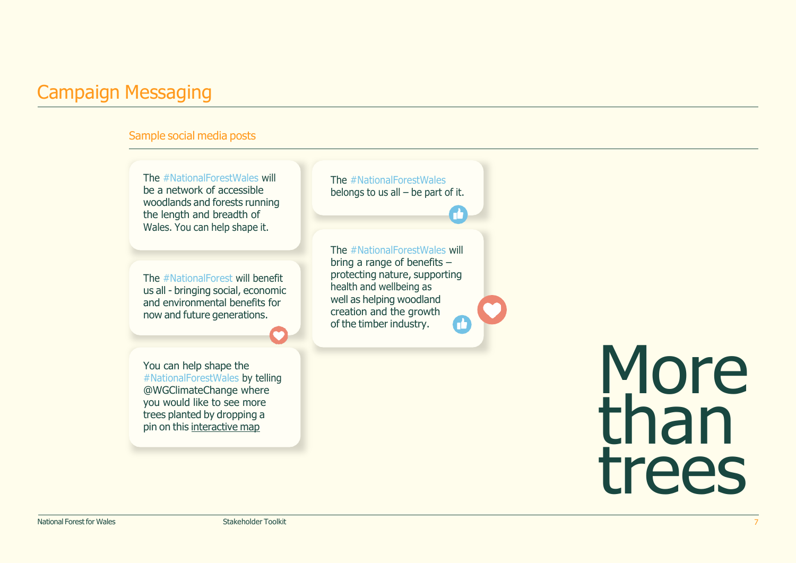## <span id="page-6-0"></span>Campaign Messaging

#### Sample social media posts

The #NationalForestWales will be a network of accessible woodlands and forests running the length and breadth of Wales. You can help shape it.

The #NationalForest will benefit us all - bringing social, economic and environmental benefits for now and future generations.

You can help shape the #NationalForestWales by telling @WGClimateChange where you would like to see more trees planted by dropping a pin on this interactive map

The #NationalForestWales belongs to us all – be part of it.

The #NationalForestWales will bring a range of benefits – protecting nature, supporting health and wellbeing as well as helping woodland creation and the growth of the timber industry.

> More<br>than trees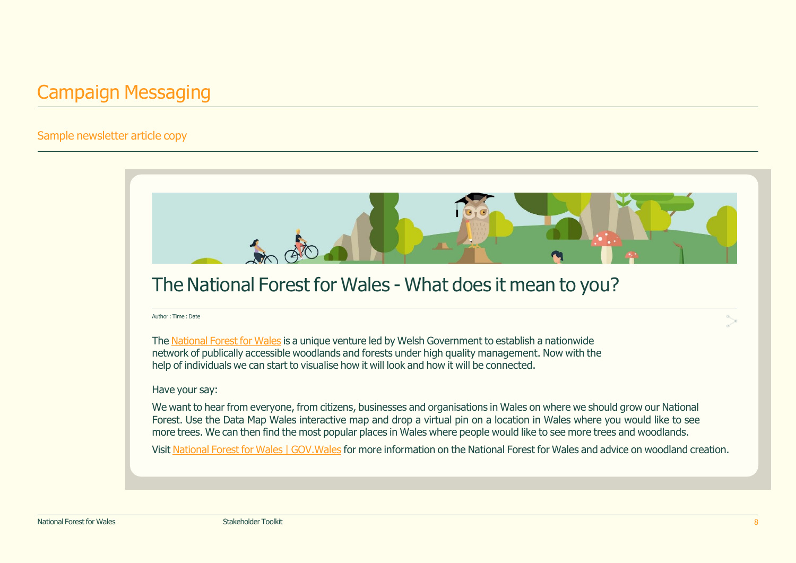## Campaign Messaging

#### Sample newsletter article copy

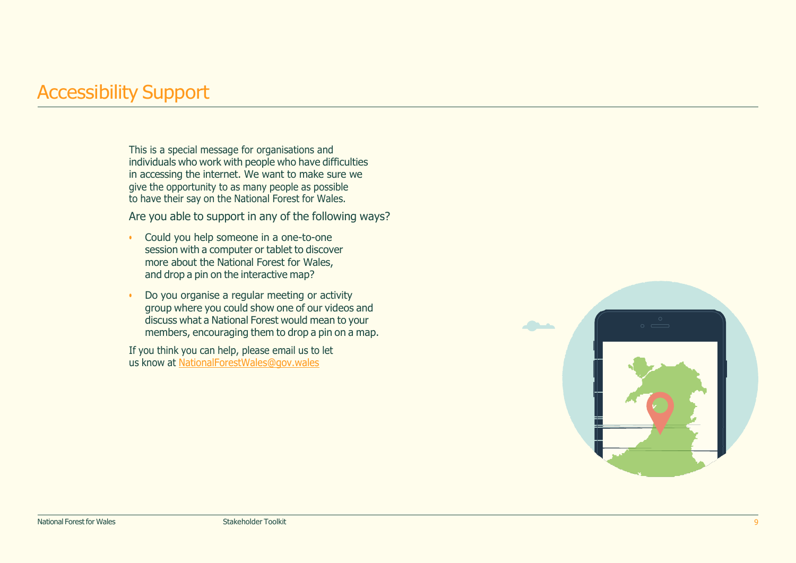## <span id="page-8-0"></span>Accessibility Support

This is a special message for organisations and individuals who work with people who have difficulties in accessing the internet. We want to make sure we give the opportunity to as many people as possible to have their say on the National Forest for Wales.

Are you able to support in any of the following ways?

- Could you help someone in a one-to-one session with a computer or tablet to discover more about the National Forest for Wales, and drop a pin on the interactive map?
- Do you organise a regular meeting or activity group where you could show one of our videos and discuss what a National Forest would mean to your members, encouraging them to drop a pin on a map.

If you think you can help, please email us to let us know at [NationalForestWales@gov.wales](mailto:NationalForestWales@gov.wales)